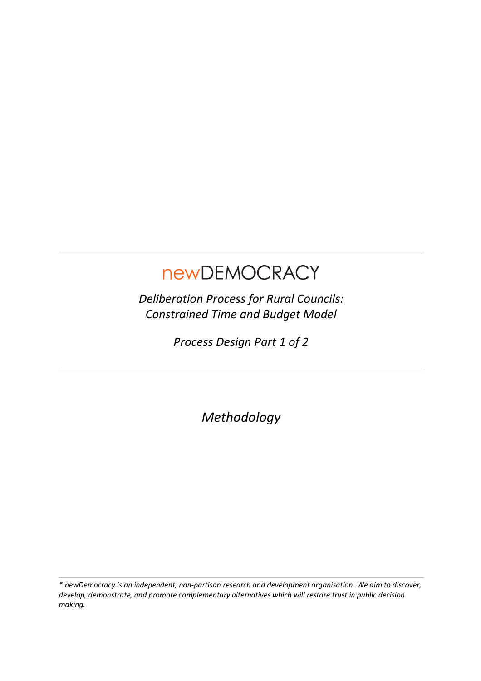# newDEMOCRACY

*Deliberation Process for Rural Councils: Constrained Time and Budget Model*

*Process Design Part 1 of 2*

*Methodology*

*\* newDemocracy is an independent, non-partisan research and development organisation. We aim to discover, develop, demonstrate, and promote complementary alternatives which will restore trust in public decision making.*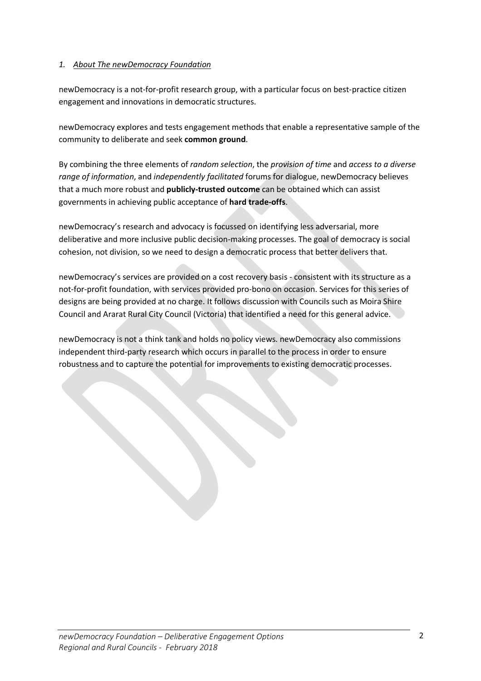# *1. About The newDemocracy Foundation*

newDemocracy is a not-for-profit research group, with a particular focus on best-practice citizen engagement and innovations in democratic structures.

newDemocracy explores and tests engagement methods that enable a representative sample of the community to deliberate and seek **common ground**.

By combining the three elements of *random selection*, the *provision of time* and *access to a diverse range of information*, and *independently facilitated* forums for dialogue, newDemocracy believes that a much more robust and **publicly-trusted outcome** can be obtained which can assist governments in achieving public acceptance of **hard trade-offs**.

newDemocracy's research and advocacy is focussed on identifying less adversarial, more deliberative and more inclusive public decision-making processes. The goal of democracy is social cohesion, not division, so we need to design a democratic process that better delivers that.

newDemocracy's services are provided on a cost recovery basis - consistent with its structure as a not-for-profit foundation, with services provided pro-bono on occasion. Services for this series of designs are being provided at no charge. It follows discussion with Councils such as Moira Shire Council and Ararat Rural City Council (Victoria) that identified a need for this general advice.

newDemocracy is not a think tank and holds no policy views. newDemocracy also commissions independent third-party research which occurs in parallel to the process in order to ensure robustness and to capture the potential for improvements to existing democratic processes.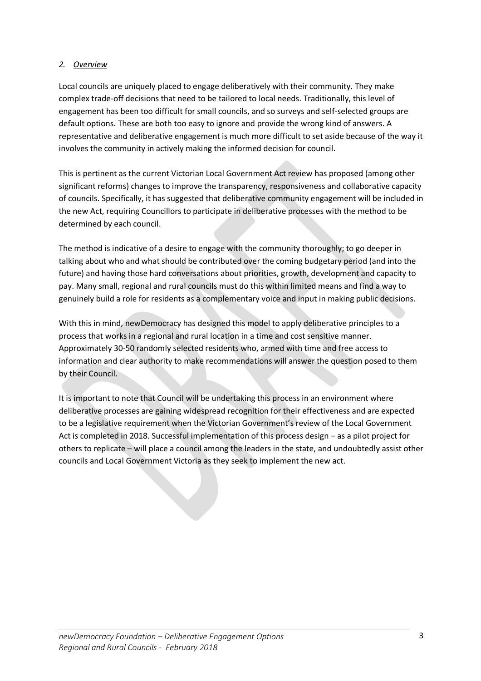# *2. Overview*

Local councils are uniquely placed to engage deliberatively with their community. They make complex trade-off decisions that need to be tailored to local needs. Traditionally, this level of engagement has been too difficult for small councils, and so surveys and self-selected groups are default options. These are both too easy to ignore and provide the wrong kind of answers. A representative and deliberative engagement is much more difficult to set aside because of the way it involves the community in actively making the informed decision for council.

This is pertinent as the current Victorian Local Government Act review has proposed (among other significant reforms) changes to improve the transparency, responsiveness and collaborative capacity of councils. Specifically, it has suggested that deliberative community engagement will be included in the new Act, requiring Councillors to participate in deliberative processes with the method to be determined by each council.

The method is indicative of a desire to engage with the community thoroughly; to go deeper in talking about who and what should be contributed over the coming budgetary period (and into the future) and having those hard conversations about priorities, growth, development and capacity to pay. Many small, regional and rural councils must do this within limited means and find a way to genuinely build a role for residents as a complementary voice and input in making public decisions.

With this in mind, newDemocracy has designed this model to apply deliberative principles to a process that works in a regional and rural location in a time and cost sensitive manner. Approximately 30-50 randomly selected residents who, armed with time and free access to information and clear authority to make recommendations will answer the question posed to them by their Council.

It is important to note that Council will be undertaking this process in an environment where deliberative processes are gaining widespread recognition for their effectiveness and are expected to be a legislative requirement when the Victorian Government's review of the Local Government Act is completed in 2018. Successful implementation of this process design – as a pilot project for others to replicate – will place a council among the leaders in the state, and undoubtedly assist other councils and Local Government Victoria as they seek to implement the new act.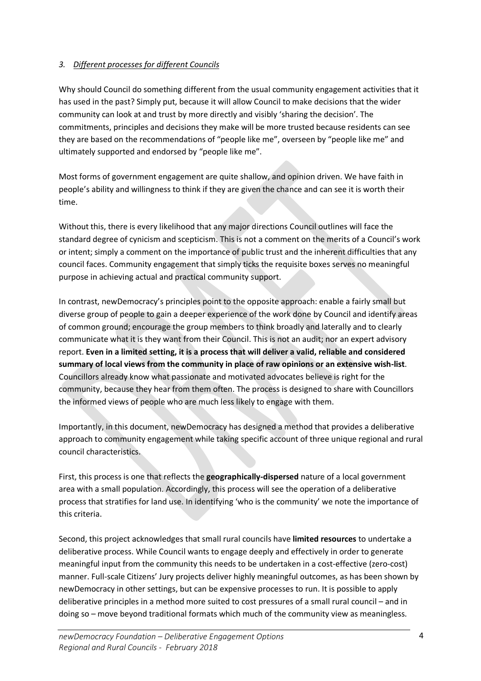# *3. Different processes for different Councils*

Why should Council do something different from the usual community engagement activities that it has used in the past? Simply put, because it will allow Council to make decisions that the wider community can look at and trust by more directly and visibly 'sharing the decision'. The commitments, principles and decisions they make will be more trusted because residents can see they are based on the recommendations of "people like me", overseen by "people like me" and ultimately supported and endorsed by "people like me".

Most forms of government engagement are quite shallow, and opinion driven. We have faith in people's ability and willingness to think if they are given the chance and can see it is worth their time.

Without this, there is every likelihood that any major directions Council outlines will face the standard degree of cynicism and scepticism. This is not a comment on the merits of a Council's work or intent; simply a comment on the importance of public trust and the inherent difficulties that any council faces. Community engagement that simply ticks the requisite boxes serves no meaningful purpose in achieving actual and practical community support.

In contrast, newDemocracy's principles point to the opposite approach: enable a fairly small but diverse group of people to gain a deeper experience of the work done by Council and identify areas of common ground; encourage the group members to think broadly and laterally and to clearly communicate what it is they want from their Council. This is not an audit; nor an expert advisory report. **Even in a limited setting, it is a process that will deliver a valid, reliable and considered summary of local views from the community in place of raw opinions or an extensive wish-list**. Councillors already know what passionate and motivated advocates believe is right for the community, because they hear from them often. The process is designed to share with Councillors the informed views of people who are much less likely to engage with them.

Importantly, in this document, newDemocracy has designed a method that provides a deliberative approach to community engagement while taking specific account of three unique regional and rural council characteristics.

First, this process is one that reflects the **geographically-dispersed** nature of a local government area with a small population. Accordingly, this process will see the operation of a deliberative process that stratifies for land use. In identifying 'who is the community' we note the importance of this criteria.

Second, this project acknowledges that small rural councils have **limited resources** to undertake a deliberative process. While Council wants to engage deeply and effectively in order to generate meaningful input from the community this needs to be undertaken in a cost-effective (zero-cost) manner. Full-scale Citizens' Jury projects deliver highly meaningful outcomes, as has been shown by newDemocracy in other settings, but can be expensive processes to run. It is possible to apply deliberative principles in a method more suited to cost pressures of a small rural council – and in doing so – move beyond traditional formats which much of the community view as meaningless.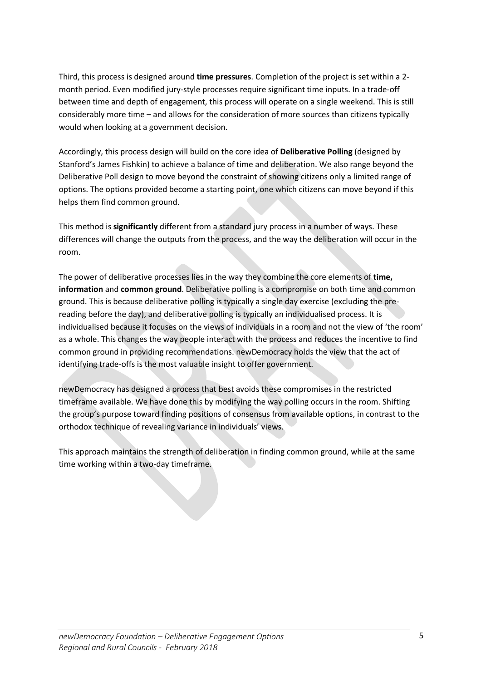Third, this process is designed around **time pressures**. Completion of the project is set within a 2 month period. Even modified jury-style processes require significant time inputs. In a trade-off between time and depth of engagement, this process will operate on a single weekend. This is still considerably more time – and allows for the consideration of more sources than citizens typically would when looking at a government decision.

Accordingly, this process design will build on the core idea of **Deliberative Polling** (designed by Stanford's James Fishkin) to achieve a balance of time and deliberation. We also range beyond the Deliberative Poll design to move beyond the constraint of showing citizens only a limited range of options. The options provided become a starting point, one which citizens can move beyond if this helps them find common ground.

This method is **significantly** different from a standard jury process in a number of ways. These differences will change the outputs from the process, and the way the deliberation will occur in the room.

The power of deliberative processes lies in the way they combine the core elements of **time, information** and **common ground**. Deliberative polling is a compromise on both time and common ground. This is because deliberative polling is typically a single day exercise (excluding the prereading before the day), and deliberative polling is typically an individualised process. It is individualised because it focuses on the views of individuals in a room and not the view of 'the room' as a whole. This changes the way people interact with the process and reduces the incentive to find common ground in providing recommendations. newDemocracy holds the view that the act of identifying trade-offs is the most valuable insight to offer government.

newDemocracy has designed a process that best avoids these compromises in the restricted timeframe available. We have done this by modifying the way polling occurs in the room. Shifting the group's purpose toward finding positions of consensus from available options, in contrast to the orthodox technique of revealing variance in individuals' views.

This approach maintains the strength of deliberation in finding common ground, while at the same time working within a two-day timeframe.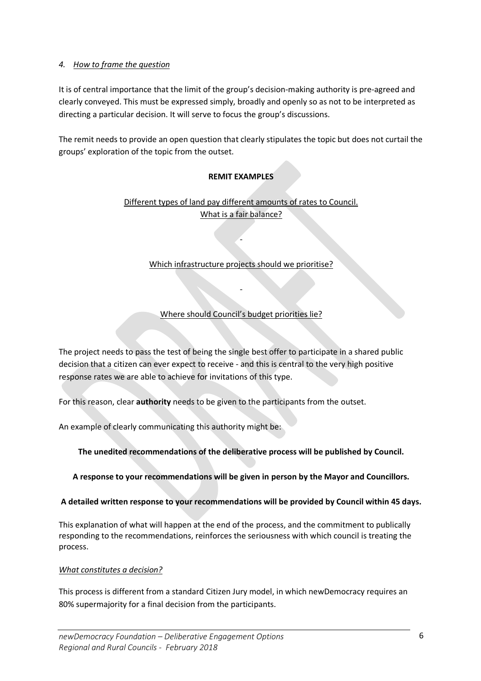# *4. How to frame the question*

It is of central importance that the limit of the group's decision-making authority is pre-agreed and clearly conveyed. This must be expressed simply, broadly and openly so as not to be interpreted as directing a particular decision. It will serve to focus the group's discussions.

The remit needs to provide an open question that clearly stipulates the topic but does not curtail the groups' exploration of the topic from the outset.

# **REMIT EXAMPLES**

Different types of land pay different amounts of rates to Council. What is a fair balance?

#### Which infrastructure projects should we prioritise?

-

# Where should Council's budget priorities lie?

-

The project needs to pass the test of being the single best offer to participate in a shared public decision that a citizen can ever expect to receive - and this is central to the very high positive response rates we are able to achieve for invitations of this type.

For this reason, clear **authority** needs to be given to the participants from the outset.

An example of clearly communicating this authority might be:

**The unedited recommendations of the deliberative process will be published by Council.**

**A response to your recommendations will be given in person by the Mayor and Councillors.**

#### **A detailed written response to your recommendations will be provided by Council within 45 days.**

This explanation of what will happen at the end of the process, and the commitment to publically responding to the recommendations, reinforces the seriousness with which council is treating the process.

#### *What constitutes a decision?*

This process is different from a standard Citizen Jury model, in which newDemocracy requires an 80% supermajority for a final decision from the participants.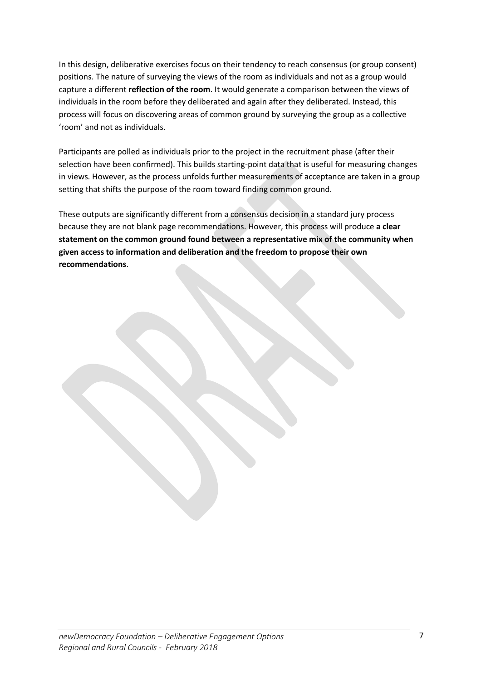In this design, deliberative exercises focus on their tendency to reach consensus (or group consent) positions. The nature of surveying the views of the room as individuals and not as a group would capture a different **reflection of the room**. It would generate a comparison between the views of individuals in the room before they deliberated and again after they deliberated. Instead, this process will focus on discovering areas of common ground by surveying the group as a collective 'room' and not as individuals.

Participants are polled as individuals prior to the project in the recruitment phase (after their selection have been confirmed). This builds starting-point data that is useful for measuring changes in views. However, as the process unfolds further measurements of acceptance are taken in a group setting that shifts the purpose of the room toward finding common ground.

These outputs are significantly different from a consensus decision in a standard jury process because they are not blank page recommendations. However, this process will produce **a clear statement on the common ground found between a representative mix of the community when given access to information and deliberation and the freedom to propose their own recommendations**.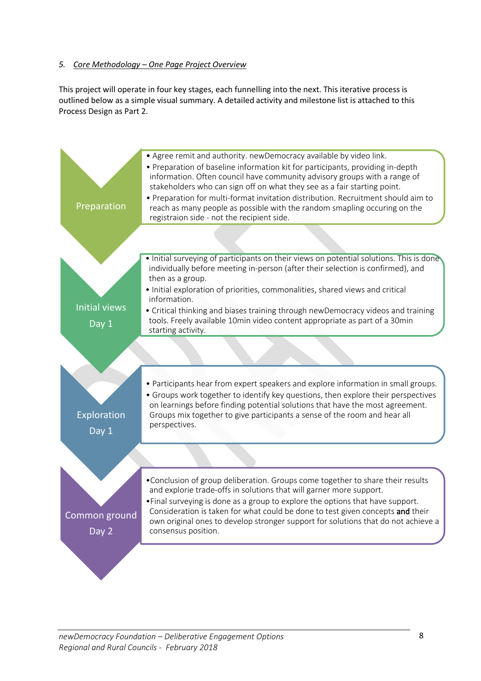# *5. Core Methodology – One Page Project Overview*

This project will operate in four key stages, each funnelling into the next. This iterative process is outlined below as a simple visual summary. A detailed activity and milestone list is attached to this Process Design as Part 2.

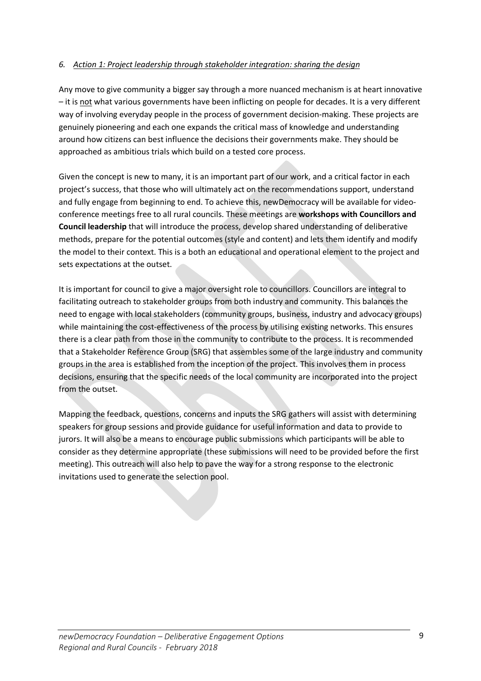# *6. Action 1: Project leadership through stakeholder integration: sharing the design*

Any move to give community a bigger say through a more nuanced mechanism is at heart innovative – it is not what various governments have been inflicting on people for decades. It is a very different way of involving everyday people in the process of government decision-making. These projects are genuinely pioneering and each one expands the critical mass of knowledge and understanding around how citizens can best influence the decisions their governments make. They should be approached as ambitious trials which build on a tested core process.

Given the concept is new to many, it is an important part of our work, and a critical factor in each project's success, that those who will ultimately act on the recommendations support, understand and fully engage from beginning to end. To achieve this, newDemocracy will be available for videoconference meetings free to all rural councils. These meetings are **workshops with Councillors and Council leadership** that will introduce the process, develop shared understanding of deliberative methods, prepare for the potential outcomes (style and content) and lets them identify and modify the model to their context. This is a both an educational and operational element to the project and sets expectations at the outset.

It is important for council to give a major oversight role to councillors. Councillors are integral to facilitating outreach to stakeholder groups from both industry and community. This balances the need to engage with local stakeholders (community groups, business, industry and advocacy groups) while maintaining the cost-effectiveness of the process by utilising existing networks. This ensures there is a clear path from those in the community to contribute to the process. It is recommended that a Stakeholder Reference Group (SRG) that assembles some of the large industry and community groups in the area is established from the inception of the project. This involves them in process decisions, ensuring that the specific needs of the local community are incorporated into the project from the outset.

Mapping the feedback, questions, concerns and inputs the SRG gathers will assist with determining speakers for group sessions and provide guidance for useful information and data to provide to jurors. It will also be a means to encourage public submissions which participants will be able to consider as they determine appropriate (these submissions will need to be provided before the first meeting). This outreach will also help to pave the way for a strong response to the electronic invitations used to generate the selection pool.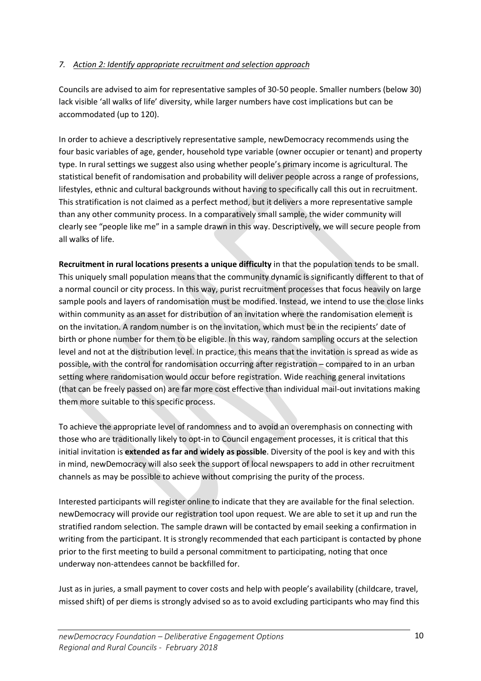# *7. Action 2: Identify appropriate recruitment and selection approach*

Councils are advised to aim for representative samples of 30-50 people. Smaller numbers (below 30) lack visible 'all walks of life' diversity, while larger numbers have cost implications but can be accommodated (up to 120).

In order to achieve a descriptively representative sample, newDemocracy recommends using the four basic variables of age, gender, household type variable (owner occupier or tenant) and property type. In rural settings we suggest also using whether people's primary income is agricultural. The statistical benefit of randomisation and probability will deliver people across a range of professions, lifestyles, ethnic and cultural backgrounds without having to specifically call this out in recruitment. This stratification is not claimed as a perfect method, but it delivers a more representative sample than any other community process. In a comparatively small sample, the wider community will clearly see "people like me" in a sample drawn in this way. Descriptively, we will secure people from all walks of life.

**Recruitment in rural locations presents a unique difficulty** in that the population tends to be small. This uniquely small population means that the community dynamic is significantly different to that of a normal council or city process. In this way, purist recruitment processes that focus heavily on large sample pools and layers of randomisation must be modified. Instead, we intend to use the close links within community as an asset for distribution of an invitation where the randomisation element is on the invitation. A random number is on the invitation, which must be in the recipients' date of birth or phone number for them to be eligible. In this way, random sampling occurs at the selection level and not at the distribution level. In practice, this means that the invitation is spread as wide as possible, with the control for randomisation occurring after registration – compared to in an urban setting where randomisation would occur before registration. Wide reaching general invitations (that can be freely passed on) are far more cost effective than individual mail-out invitations making them more suitable to this specific process.

To achieve the appropriate level of randomness and to avoid an overemphasis on connecting with those who are traditionally likely to opt-in to Council engagement processes, it is critical that this initial invitation is **extended as far and widely as possible**. Diversity of the pool is key and with this in mind, newDemocracy will also seek the support of local newspapers to add in other recruitment channels as may be possible to achieve without comprising the purity of the process.

Interested participants will register online to indicate that they are available for the final selection. newDemocracy will provide our registration tool upon request. We are able to set it up and run the stratified random selection. The sample drawn will be contacted by email seeking a confirmation in writing from the participant. It is strongly recommended that each participant is contacted by phone prior to the first meeting to build a personal commitment to participating, noting that once underway non-attendees cannot be backfilled for.

Just as in juries, a small payment to cover costs and help with people's availability (childcare, travel, missed shift) of per diems is strongly advised so as to avoid excluding participants who may find this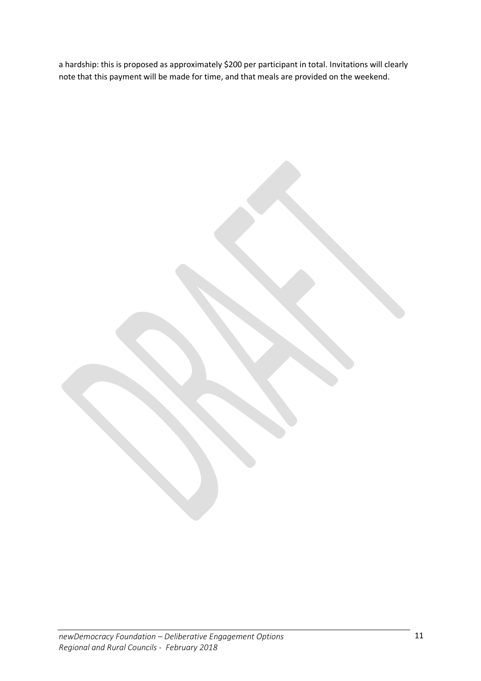a hardship: this is proposed as approximately \$200 per participant in total. Invitations will clearly note that this payment will be made for time, and that meals are provided on the weekend.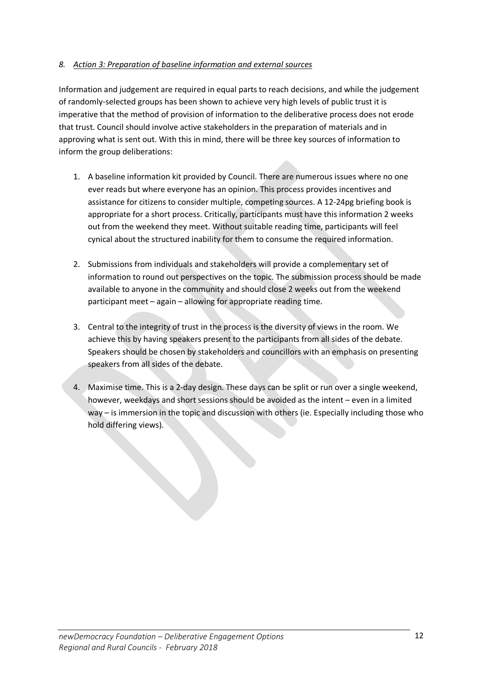# *8. Action 3: Preparation of baseline information and external sources*

Information and judgement are required in equal parts to reach decisions, and while the judgement of randomly-selected groups has been shown to achieve very high levels of public trust it is imperative that the method of provision of information to the deliberative process does not erode that trust. Council should involve active stakeholders in the preparation of materials and in approving what is sent out. With this in mind, there will be three key sources of information to inform the group deliberations:

- 1. A baseline information kit provided by Council. There are numerous issues where no one ever reads but where everyone has an opinion. This process provides incentives and assistance for citizens to consider multiple, competing sources. A 12-24pg briefing book is appropriate for a short process. Critically, participants must have this information 2 weeks out from the weekend they meet. Without suitable reading time, participants will feel cynical about the structured inability for them to consume the required information.
- 2. Submissions from individuals and stakeholders will provide a complementary set of information to round out perspectives on the topic. The submission process should be made available to anyone in the community and should close 2 weeks out from the weekend participant meet – again – allowing for appropriate reading time.
- 3. Central to the integrity of trust in the process is the diversity of views in the room. We achieve this by having speakers present to the participants from all sides of the debate. Speakers should be chosen by stakeholders and councillors with an emphasis on presenting speakers from all sides of the debate.
- 4. Maximise time. This is a 2-day design. These days can be split or run over a single weekend, however, weekdays and short sessions should be avoided as the intent – even in a limited way – is immersion in the topic and discussion with others (ie. Especially including those who hold differing views).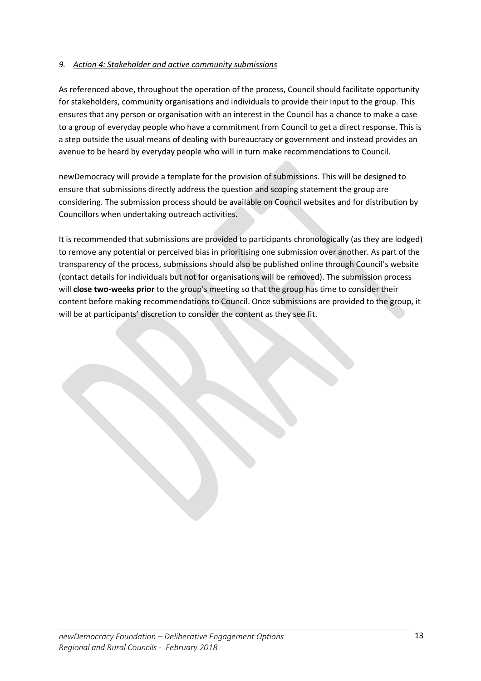# *9. Action 4: Stakeholder and active community submissions*

As referenced above, throughout the operation of the process, Council should facilitate opportunity for stakeholders, community organisations and individuals to provide their input to the group. This ensures that any person or organisation with an interest in the Council has a chance to make a case to a group of everyday people who have a commitment from Council to get a direct response. This is a step outside the usual means of dealing with bureaucracy or government and instead provides an avenue to be heard by everyday people who will in turn make recommendations to Council.

newDemocracy will provide a template for the provision of submissions. This will be designed to ensure that submissions directly address the question and scoping statement the group are considering. The submission process should be available on Council websites and for distribution by Councillors when undertaking outreach activities.

It is recommended that submissions are provided to participants chronologically (as they are lodged) to remove any potential or perceived bias in prioritising one submission over another. As part of the transparency of the process, submissions should also be published online through Council's website (contact details for individuals but not for organisations will be removed). The submission process will **close two-weeks prior** to the group's meeting so that the group has time to consider their content before making recommendations to Council. Once submissions are provided to the group, it will be at participants' discretion to consider the content as they see fit.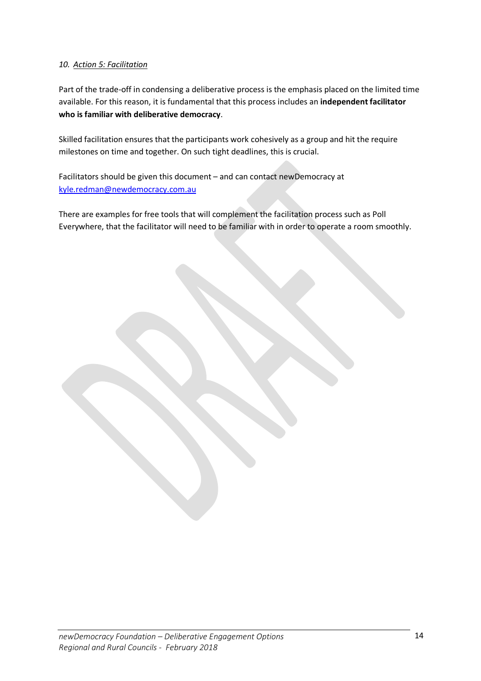# *10. Action 5: Facilitation*

Part of the trade-off in condensing a deliberative process is the emphasis placed on the limited time available. For this reason, it is fundamental that this process includes an **independent facilitator who is familiar with deliberative democracy**.

Skilled facilitation ensures that the participants work cohesively as a group and hit the require milestones on time and together. On such tight deadlines, this is crucial.

Facilitators should be given this document – and can contact newDemocracy at kyle.redman@newdemocracy.com.au

There are examples for free tools that will complement the facilitation process such as Poll Everywhere, that the facilitator will need to be familiar with in order to operate a room smoothly.